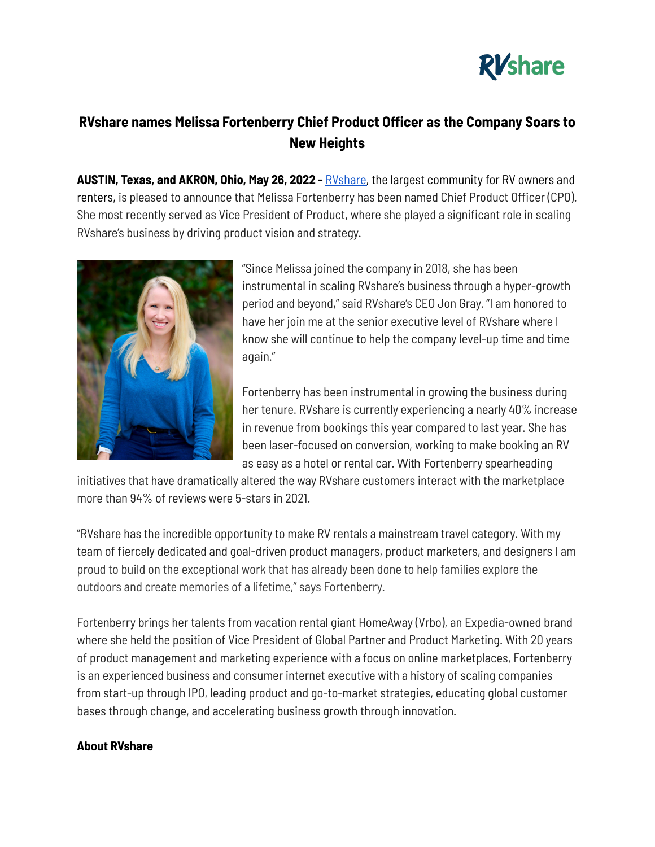

## **RVshare names Melissa Fortenberry Chief Product Officer as the Company Soars to New Heights**

**AUSTIN, Texas, and AKRON, Ohio, May 26, 2022 -** [RVshare,](https://rvshare.com/) the largest community for RV owners and renters, is pleased to announce that Melissa Fortenberry has been named Chief Product Officer (CPO). She most recently served as Vice President of Product, where she played a significant role in scaling RVshare's business by driving product vision and strategy.



"Since Melissa joined the company in 2018, she has been instrumental in scaling RVshare's business through a hyper-growth period and beyond," said RVshare's CEO Jon Gray. "I am honored to have her join me at the senior executive level of RVshare where I know she will continue to help the company level-up time and time again."

Fortenberry has been instrumental in growing the business during her tenure. RVshare is currently experiencing a nearly 40% increase in revenue from bookings this year compared to last year. She has been laser-focused on conversion, working to make booking an RV as easy as a hotel or rental car. With Fortenberry spearheading

initiatives that have dramatically altered the way RVshare customers interact with the marketplace more than 94% of reviews were 5-stars in 2021.

"RVshare has the incredible opportunity to make RV rentals a mainstream travel category. With my team of fiercely dedicated and goal-driven product managers, product marketers, and designers I am proud to build on the exceptional work that has already been done to help families explore the outdoors and create memories of a lifetime," says Fortenberry.

Fortenberry brings her talents from vacation rental giant HomeAway (Vrbo), an Expedia-owned brand where she held the position of Vice President of Global Partner and Product Marketing. With 20 years of product management and marketing experience with a focus on online marketplaces, Fortenberry is an experienced business and consumer internet executive with a history of scaling companies from start-up through IPO, leading product and go-to-market strategies, educating global customer bases through change, and accelerating business growth through innovation.

## **About RVshare**